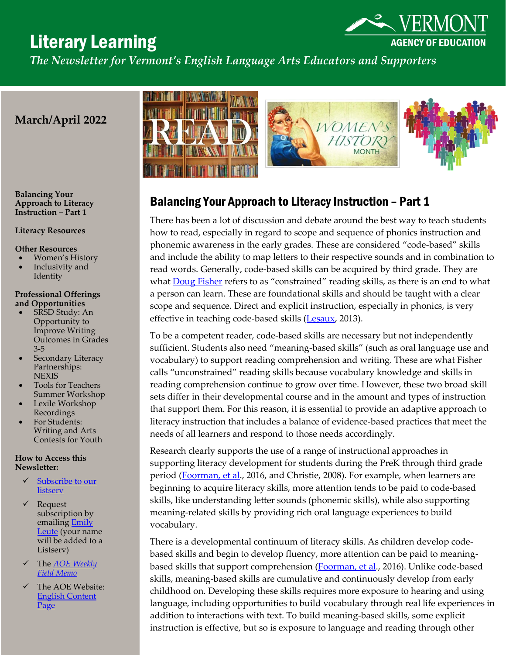# Literary Learning

**AGENCY OF EDUCATION** 

*The Newsletter for Vermont's English Language Arts Educators and Supporters* 

# **March/April 2022**

**Balancing Your Approach to Literacy Instruction – Part 1**

#### **Literacy Resources**

#### **Other Resources**

- Women's History
- Inclusivity and Identity

#### **Professional Offerings and Opportunities**

- SRSD Study: An Opportunity to Improve Writing Outcomes in Grades 3-5
- Secondary Literacy Partnerships: **NEXIS**
- Tools for Teachers Summer Workshop
- Lexile Workshop Recordings
- For Students: Writing and Arts Contests for Youth

### **How to Access this Newsletter:**

- Subscribe to our **[listserv](http://list.education.state.vt.us/mailman/listinfo/ela)**
- ✓ Request subscription by emailing **Emily** [Leute](mailto:emily.leute@vermont.gov) (your name will be added to a Listserv)
- ✓ The *[AOE Weekly](https://education.vermont.gov/blog)  [Field Memo](https://education.vermont.gov/blog)*
- The AOE Website: [English Content](https://education.vermont.gov/student-learning/content-areas/language-arts)  [Page](https://education.vermont.gov/student-learning/content-areas/language-arts)



## Balancing Your Approach to Literacy Instruction – Part 1

There has been a lot of discussion and debate around the best way to teach students how to read, especially in regard to scope and sequence of phonics instruction and phonemic awareness in the early grades. These are considered "code-based" skills and include the ability to map letters to their respective sounds and in combination to read words. Generally, code-based skills can be acquired by third grade. They are what **Doug Fisher** refers to as "constrained" reading skills, as there is an end to what a person can learn. These are foundational skills and should be taught with a clear scope and sequence. Direct and explicit instruction, especially in phonics, is very effective in teaching code-based skills [\(Lesaux,](https://www.fcd-us.org/prek-3rd-getting-literacy-instruction-right/) 2013).

To be a competent reader, code-based skills are necessary but not independently sufficient. Students also need "meaning-based skills" (such as oral language use and vocabulary) to support reading comprehension and writing. These are what Fisher calls "unconstrained" reading skills because vocabulary knowledge and skills in reading comprehension continue to grow over time. However, these two broad skill sets differ in their developmental course and in the amount and types of instruction that support them. For this reason, it is essential to provide an adaptive approach to literacy instruction that includes a balance of evidence-based practices that meet the needs of all learners and respond to those needs accordingly.

Research clearly supports the use of a range of instructional approaches in supporting literacy development for students during the PreK through third grade period [\(Foorman, et al.](http://whatworks.ed.gov/), 2016, and Christie, 2008). For example, when learners are beginning to acquire literacy skills, more attention tends to be paid to code-based skills, like understanding letter sounds (phonemic skills), while also supporting meaning-related skills by providing rich oral language experiences to build vocabulary.

There is a developmental continuum of literacy skills. As children develop codebased skills and begin to develop fluency, more attention can be paid to meaning-based skills that support comprehension [\(Foorman, et al.](http://whatworks.ed.gov/), 2016). Unlike code-based skills, meaning-based skills are cumulative and continuously develop from early childhood on. Developing these skills requires more exposure to hearing and using language, including opportunities to build vocabulary through real life experiences in addition to interactions with text. To build meaning-based skills, some explicit instruction is effective, but so is exposure to language and reading through other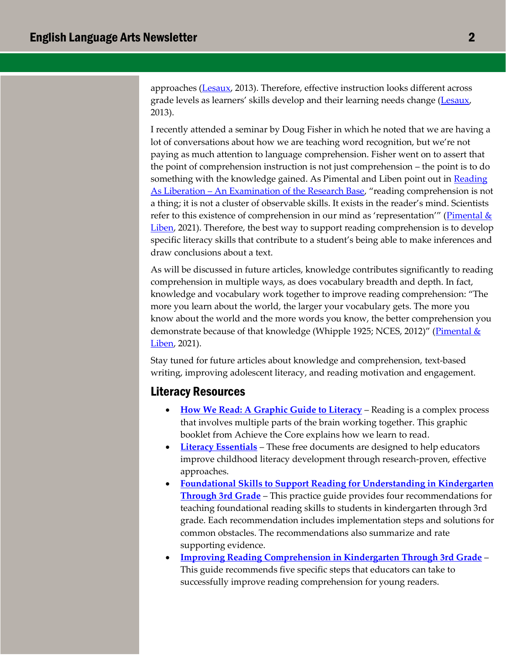approaches [\(Lesaux,](https://www.fcd-us.org/prek-3rd-getting-literacy-instruction-right/) 2013). Therefore, effective instruction looks different across grade levels as learners' skills develop and their learning needs change [\(Lesaux,](https://www.fcd-us.org/prek-3rd-getting-literacy-instruction-right/) 2013).

I recently attended a seminar by Doug Fisher in which he noted that we are having a lot of conversations about how we are teaching word recognition, but we're not paying as much attention to language comprehension. Fisher went on to assert that the point of comprehension instruction is not just comprehension – the point is to do something with the knowledge gained. As Pimental and Liben point out in Reading As Liberation – [An Examination of the Research Base](https://achievethecore.org/page/3336/reading-as-liberation-an-examination-of-the-research-base), "reading comprehension is not a thing; it is not a cluster of observable skills. It exists in the reader's mind. Scientists refer to this existence of comprehension in our mind as 'representation'" ([Pimental &](https://achievethecore.org/page/3336/reading-as-liberation-an-examination-of-the-research-base)  [Liben,](https://achievethecore.org/page/3336/reading-as-liberation-an-examination-of-the-research-base) 2021). Therefore, the best way to support reading comprehension is to develop specific literacy skills that contribute to a student's being able to make inferences and draw conclusions about a text.

As will be discussed in future articles, knowledge contributes significantly to reading comprehension in multiple ways, as does vocabulary breadth and depth. In fact, knowledge and vocabulary work together to improve reading comprehension: "The more you learn about the world, the larger your vocabulary gets. The more you know about the world and the more words you know, the better comprehension you demonstrate because of that knowledge (Whipple 1925; NCES, 2012)" (*Pimental &* [Liben,](https://achievethecore.org/page/3336/reading-as-liberation-an-examination-of-the-research-base) 2021).

Stay tuned for future articles about knowledge and comprehension, text-based writing, improving adolescent literacy, and reading motivation and engagement.

## Literacy Resources

- **[How We Read: A Graphic Guide to Literacy](https://achievethecore.org/page/3372/how-we-read-a-graphic-guide-to-literacy)** Reading is a complex process that involves multiple parts of the brain working together. This graphic booklet from Achieve the Core explains how we learn to read.
- **[Literacy Essentials](https://literacyessentials.org/literacy-essentials/the-essentials/)** These free documents are designed to help educators improve childhood literacy development through research-proven, effective approaches.
- **[Foundational Skills to Support Reading for Understanding in Kindergarten](https://ies.ed.gov/ncee/wwc/practiceguide/21)  [Through 3rd Grade](https://ies.ed.gov/ncee/wwc/practiceguide/21)** – This practice guide provides four recommendations for teaching foundational reading skills to students in kindergarten through 3rd grade. Each recommendation includes implementation steps and solutions for common obstacles. The recommendations also summarize and rate supporting evidence.
- **[Improving Reading Comprehension in Kindergarten Through 3rd Grade](https://ies.ed.gov/ncee/wwc/PracticeGuide/14)** This guide recommends five specific steps that educators can take to successfully improve reading comprehension for young readers.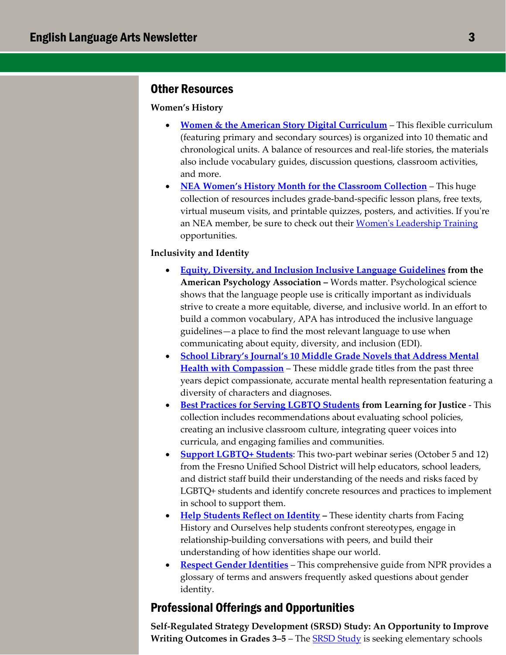## Other Resources

## **Women's History**

- **[Women & the American Story Digital Curriculum](https://achievethecore.us9.list-manage.com/track/click?u=4ec6bb1ee5975776b3619f439&id=5bc50fc38e&e=edbb160704)** This flexible curriculum (featuring primary and secondary sources) is organized into 10 thematic and chronological units. A balance of resources and real-life stories, the materials also include vocabulary guides, discussion questions, classroom activities, and more.
- **[NEA Women's History Month for the Classroom Collection](https://achievethecore.us9.list-manage.com/track/click?u=4ec6bb1ee5975776b3619f439&id=0fd4dd7a56&e=edbb160704)** This huge collection of resources includes grade-band-specific lesson plans, free texts, virtual museum visits, and printable quizzes, posters, and activities. If you're an NEA member, be sure to check out their [Women's Leadership Training](https://achievethecore.us9.list-manage.com/track/click?u=4ec6bb1ee5975776b3619f439&id=520bf42cd6&e=edbb160704) opportunities.

### **Inclusivity and Identity**

- **[Equity, Diversity, and Inclusion Inclusive Language Guidelines](https://vermont.us13.list-manage.com/track/click?u=3f52a025e7c7eaf0bdf39db8b&id=15e263352b&e=1049951038) from the American Psychology Association –** Words matter. Psychological science shows that the language people use is critically important as individuals strive to create a more equitable, diverse, and inclusive world. In an effort to build a common vocabulary, APA has introduced the inclusive language guidelines—a place to find the most relevant language to use when communicating about equity, diversity, and inclusion (EDI).
- **[School Library's Journal's 10 Middle Grade Novels that Address Mental](https://click.email.kqed.org/?qs=d203aa178864f1b434cdca2a82d64c3f40dd9261e3850a6055f759a831ef3b321d814653c599a3eb4867f09756d981f1360a68710bc30747)  [Health with Compassion](https://click.email.kqed.org/?qs=d203aa178864f1b434cdca2a82d64c3f40dd9261e3850a6055f759a831ef3b321d814653c599a3eb4867f09756d981f1360a68710bc30747)** – These middle grade titles from the past three years depict compassionate, accurate mental health representation featuring a diversity of characters and diagnoses.
- **[Best Practices for Serving LGBTQ Students](https://tolerance.us15.list-manage.com/track/click?u=a70584d3e4f0d3a97e412cdfe&id=197e4e243b&e=078df20574) from Learning for Justice** This collection includes recommendations about evaluating school policies, creating an inclusive classroom culture, integrating queer voices into curricula, and engaging families and communities.
- **[Support LGBTQ+ Students](https://achievethecore.us9.list-manage.com/track/click?u=4ec6bb1ee5975776b3619f439&id=1a04b33306&e=edbb160704)**: This two-part webinar series (October 5 and 12) from the Fresno Unified School District will help educators, school leaders, and district staff build their understanding of the needs and risks faced by LGBTQ+ students and identify concrete resources and practices to implement in school to support them.
- **[Help Students Reflect on Identity](https://achievethecore.us9.list-manage.com/track/click?u=4ec6bb1ee5975776b3619f439&id=98fa4d0045&e=edbb160704) –** These identity charts from Facing History and Ourselves help students confront stereotypes, engage in relationship-building conversations with peers, and build their understanding of how identities shape our world.
- **[Respect Gender Identities](https://achievethecore.us9.list-manage.com/track/click?u=4ec6bb1ee5975776b3619f439&id=abc95e2748&e=edbb160704)** This comprehensive guide from NPR provides a glossary of terms and answers frequently asked questions about gender identity.

## Professional Offerings and Opportunities

**Self-Regulated Strategy Development (SRSD) Study: An Opportunity to Improve Writing Outcomes in Grades 3–5** – The [SRSD Study](https://www.thinksrsd.com/srsd-research-study/) is seeking elementary schools